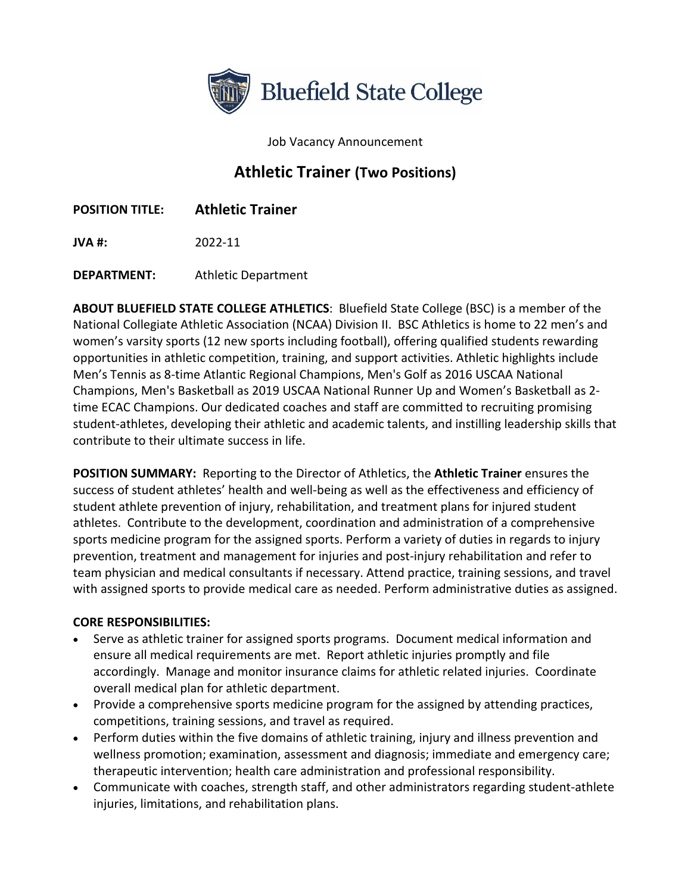

Job Vacancy Announcement

# **Athletic Trainer (Two Positions)**

**POSITION TITLE: Athletic Trainer**

**JVA #:** 2022-11

**DEPARTMENT:** Athletic Department

**ABOUT BLUEFIELD STATE COLLEGE ATHLETICS**: Bluefield State College (BSC) is a member of the National Collegiate Athletic Association (NCAA) Division II. BSC Athletics is home to 22 men's and women's varsity sports (12 new sports including football), offering qualified students rewarding opportunities in athletic competition, training, and support activities. Athletic highlights include Men's Tennis as 8-time Atlantic Regional Champions, Men's Golf as 2016 USCAA National Champions, Men's Basketball as 2019 USCAA National Runner Up and Women's Basketball as 2 time ECAC Champions. Our dedicated coaches and staff are committed to recruiting promising student-athletes, developing their athletic and academic talents, and instilling leadership skills that contribute to their ultimate success in life.

**POSITION SUMMARY:** Reporting to the Director of Athletics, the **Athletic Trainer** ensures the success of student athletes' health and well-being as well as the effectiveness and efficiency of student athlete prevention of injury, rehabilitation, and treatment plans for injured student athletes. Contribute to the development, coordination and administration of a comprehensive sports medicine program for the assigned sports. Perform a variety of duties in regards to injury prevention, treatment and management for injuries and post-injury rehabilitation and refer to team physician and medical consultants if necessary. Attend practice, training sessions, and travel with assigned sports to provide medical care as needed. Perform administrative duties as assigned.

### **CORE RESPONSIBILITIES:**

- Serve as athletic trainer for assigned sports programs. Document medical information and ensure all medical requirements are met. Report athletic injuries promptly and file accordingly. Manage and monitor insurance claims for athletic related injuries. Coordinate overall medical plan for athletic department.
- Provide a comprehensive sports medicine program for the assigned by attending practices, competitions, training sessions, and travel as required.
- Perform duties within the five domains of athletic training, injury and illness prevention and wellness promotion; examination, assessment and diagnosis; immediate and emergency care; therapeutic intervention; health care administration and professional responsibility.
- Communicate with coaches, strength staff, and other administrators regarding student-athlete injuries, limitations, and rehabilitation plans.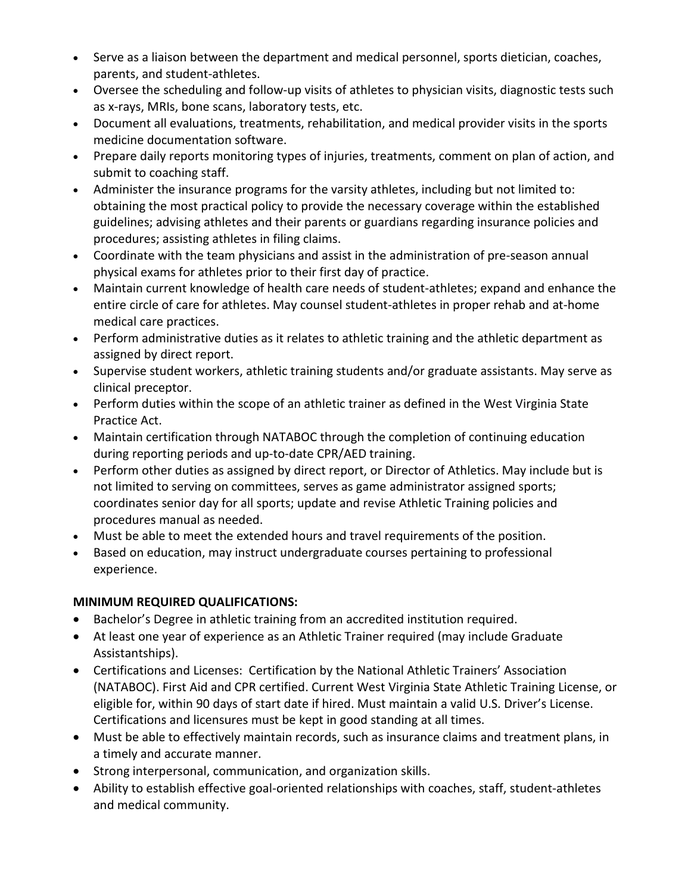- Serve as a liaison between the department and medical personnel, sports dietician, coaches, parents, and student-athletes.
- Oversee the scheduling and follow-up visits of athletes to physician visits, diagnostic tests such as x-rays, MRIs, bone scans, laboratory tests, etc.
- Document all evaluations, treatments, rehabilitation, and medical provider visits in the sports medicine documentation software.
- Prepare daily reports monitoring types of injuries, treatments, comment on plan of action, and submit to coaching staff.
- Administer the insurance programs for the varsity athletes, including but not limited to: obtaining the most practical policy to provide the necessary coverage within the established guidelines; advising athletes and their parents or guardians regarding insurance policies and procedures; assisting athletes in filing claims.
- Coordinate with the team physicians and assist in the administration of pre-season annual physical exams for athletes prior to their first day of practice.
- Maintain current knowledge of health care needs of student-athletes; expand and enhance the entire circle of care for athletes. May counsel student-athletes in proper rehab and at-home medical care practices.
- Perform administrative duties as it relates to athletic training and the athletic department as assigned by direct report.
- Supervise student workers, athletic training students and/or graduate assistants. May serve as clinical preceptor.
- Perform duties within the scope of an athletic trainer as defined in the West Virginia State Practice Act.
- Maintain certification through NATABOC through the completion of continuing education during reporting periods and up-to-date CPR/AED training.
- Perform other duties as assigned by direct report, or Director of Athletics. May include but is not limited to serving on committees, serves as game administrator assigned sports; coordinates senior day for all sports; update and revise Athletic Training policies and procedures manual as needed.
- Must be able to meet the extended hours and travel requirements of the position.
- Based on education, may instruct undergraduate courses pertaining to professional experience.

# **MINIMUM REQUIRED QUALIFICATIONS:**

- Bachelor's Degree in athletic training from an accredited institution required.
- At least one year of experience as an Athletic Trainer required (may include Graduate Assistantships).
- Certifications and Licenses: Certification by the National Athletic Trainers' Association (NATABOC). First Aid and CPR certified. Current West Virginia State Athletic Training License, or eligible for, within 90 days of start date if hired. Must maintain a valid U.S. Driver's License. Certifications and licensures must be kept in good standing at all times.
- Must be able to effectively maintain records, such as insurance claims and treatment plans, in a timely and accurate manner.
- Strong interpersonal, communication, and organization skills.
- Ability to establish effective goal-oriented relationships with coaches, staff, student-athletes and medical community.